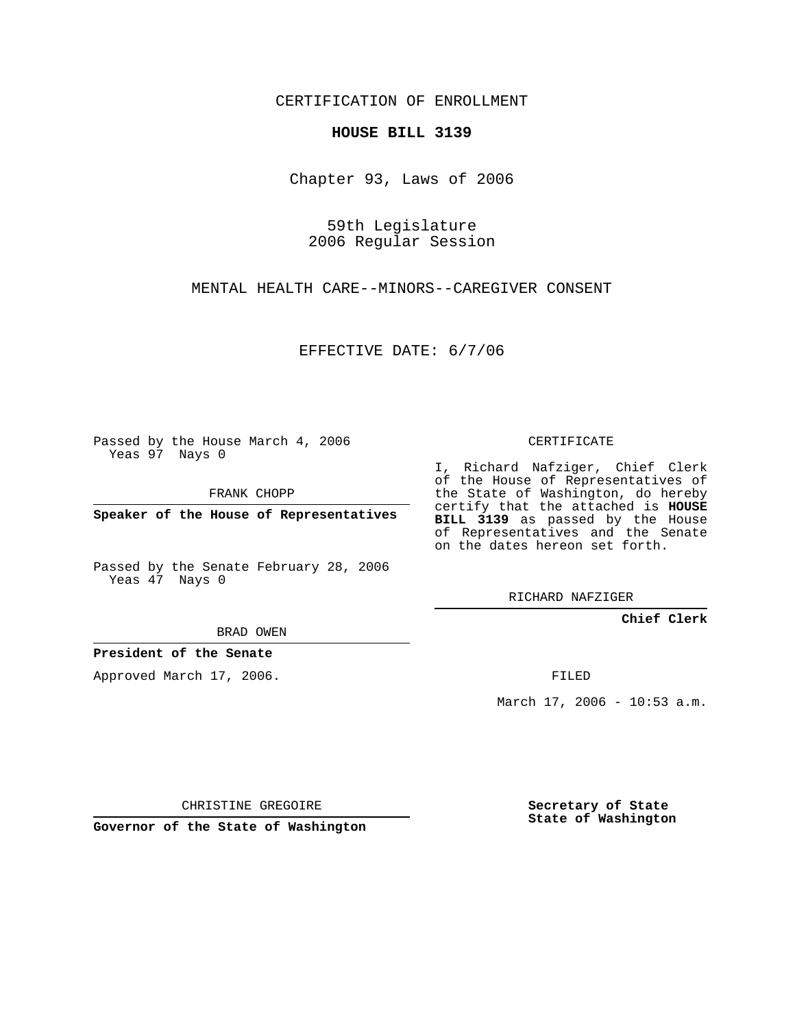CERTIFICATION OF ENROLLMENT

## **HOUSE BILL 3139**

Chapter 93, Laws of 2006

59th Legislature 2006 Regular Session

MENTAL HEALTH CARE--MINORS--CAREGIVER CONSENT

EFFECTIVE DATE: 6/7/06

Passed by the House March 4, 2006 Yeas 97 Nays 0

FRANK CHOPP

**Speaker of the House of Representatives**

Passed by the Senate February 28, 2006 Yeas 47 Nays 0

CERTIFICATE

I, Richard Nafziger, Chief Clerk of the House of Representatives of the State of Washington, do hereby certify that the attached is **HOUSE BILL 3139** as passed by the House of Representatives and the Senate on the dates hereon set forth.

RICHARD NAFZIGER

**Chief Clerk**

BRAD OWEN

**President of the Senate**

Approved March 17, 2006.

FILED

March 17, 2006 - 10:53 a.m.

CHRISTINE GREGOIRE

**Governor of the State of Washington**

**Secretary of State State of Washington**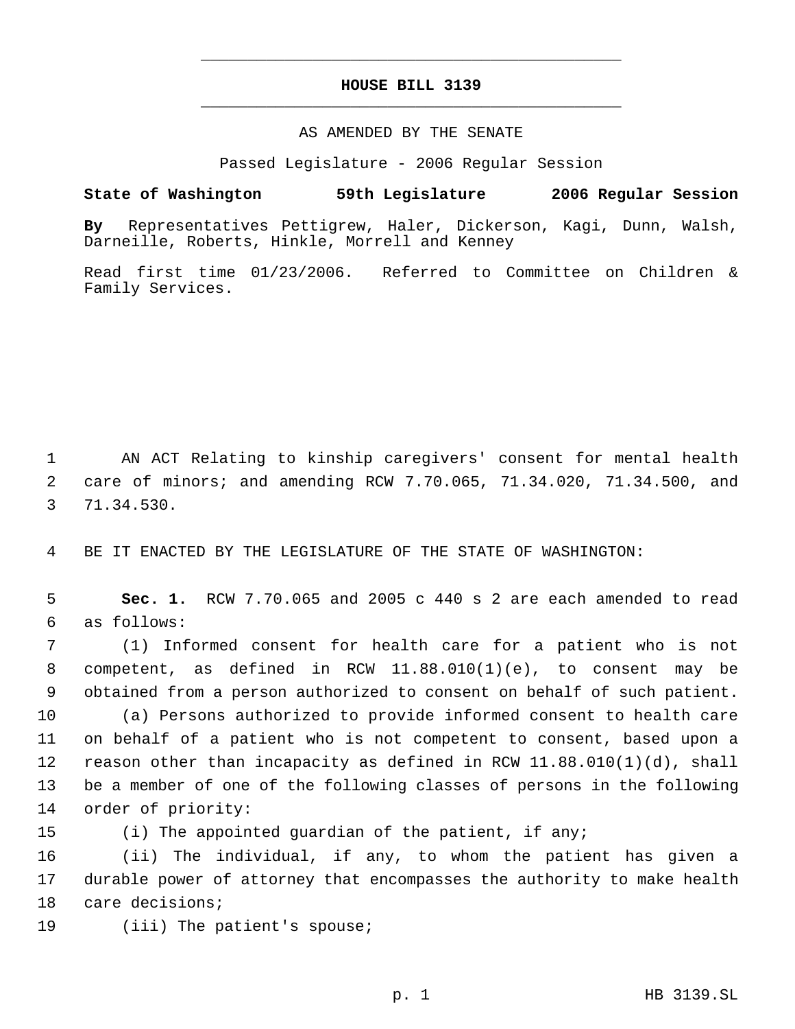## **HOUSE BILL 3139** \_\_\_\_\_\_\_\_\_\_\_\_\_\_\_\_\_\_\_\_\_\_\_\_\_\_\_\_\_\_\_\_\_\_\_\_\_\_\_\_\_\_\_\_\_

\_\_\_\_\_\_\_\_\_\_\_\_\_\_\_\_\_\_\_\_\_\_\_\_\_\_\_\_\_\_\_\_\_\_\_\_\_\_\_\_\_\_\_\_\_

## AS AMENDED BY THE SENATE

Passed Legislature - 2006 Regular Session

## **State of Washington 59th Legislature 2006 Regular Session**

**By** Representatives Pettigrew, Haler, Dickerson, Kagi, Dunn, Walsh, Darneille, Roberts, Hinkle, Morrell and Kenney

Read first time 01/23/2006. Referred to Committee on Children & Family Services.

 AN ACT Relating to kinship caregivers' consent for mental health care of minors; and amending RCW 7.70.065, 71.34.020, 71.34.500, and 71.34.530.

BE IT ENACTED BY THE LEGISLATURE OF THE STATE OF WASHINGTON:

 **Sec. 1.** RCW 7.70.065 and 2005 c 440 s 2 are each amended to read as follows:

 (1) Informed consent for health care for a patient who is not competent, as defined in RCW 11.88.010(1)(e), to consent may be obtained from a person authorized to consent on behalf of such patient. (a) Persons authorized to provide informed consent to health care on behalf of a patient who is not competent to consent, based upon a reason other than incapacity as defined in RCW 11.88.010(1)(d), shall be a member of one of the following classes of persons in the following order of priority:

(i) The appointed guardian of the patient, if any;

 (ii) The individual, if any, to whom the patient has given a durable power of attorney that encompasses the authority to make health care decisions;

(iii) The patient's spouse;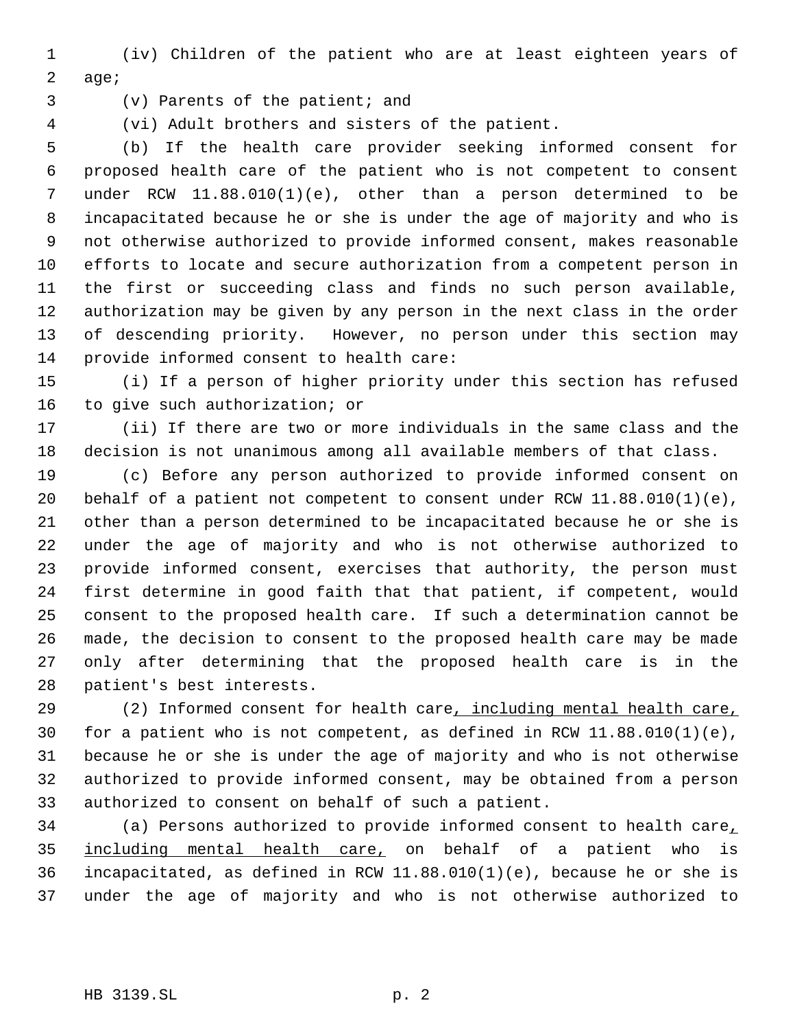(iv) Children of the patient who are at least eighteen years of age;

(v) Parents of the patient; and

(vi) Adult brothers and sisters of the patient.

 (b) If the health care provider seeking informed consent for proposed health care of the patient who is not competent to consent under RCW 11.88.010(1)(e), other than a person determined to be incapacitated because he or she is under the age of majority and who is not otherwise authorized to provide informed consent, makes reasonable efforts to locate and secure authorization from a competent person in the first or succeeding class and finds no such person available, authorization may be given by any person in the next class in the order of descending priority. However, no person under this section may provide informed consent to health care:

 (i) If a person of higher priority under this section has refused to give such authorization; or

 (ii) If there are two or more individuals in the same class and the decision is not unanimous among all available members of that class.

 (c) Before any person authorized to provide informed consent on behalf of a patient not competent to consent under RCW 11.88.010(1)(e), other than a person determined to be incapacitated because he or she is under the age of majority and who is not otherwise authorized to provide informed consent, exercises that authority, the person must first determine in good faith that that patient, if competent, would consent to the proposed health care. If such a determination cannot be made, the decision to consent to the proposed health care may be made only after determining that the proposed health care is in the patient's best interests.

 (2) Informed consent for health care, including mental health care, for a patient who is not competent, as defined in RCW 11.88.010(1)(e), because he or she is under the age of majority and who is not otherwise authorized to provide informed consent, may be obtained from a person authorized to consent on behalf of such a patient.

 (a) Persons authorized to provide informed consent to health care, 35 including mental health care, on behalf of a patient who is incapacitated, as defined in RCW 11.88.010(1)(e), because he or she is under the age of majority and who is not otherwise authorized to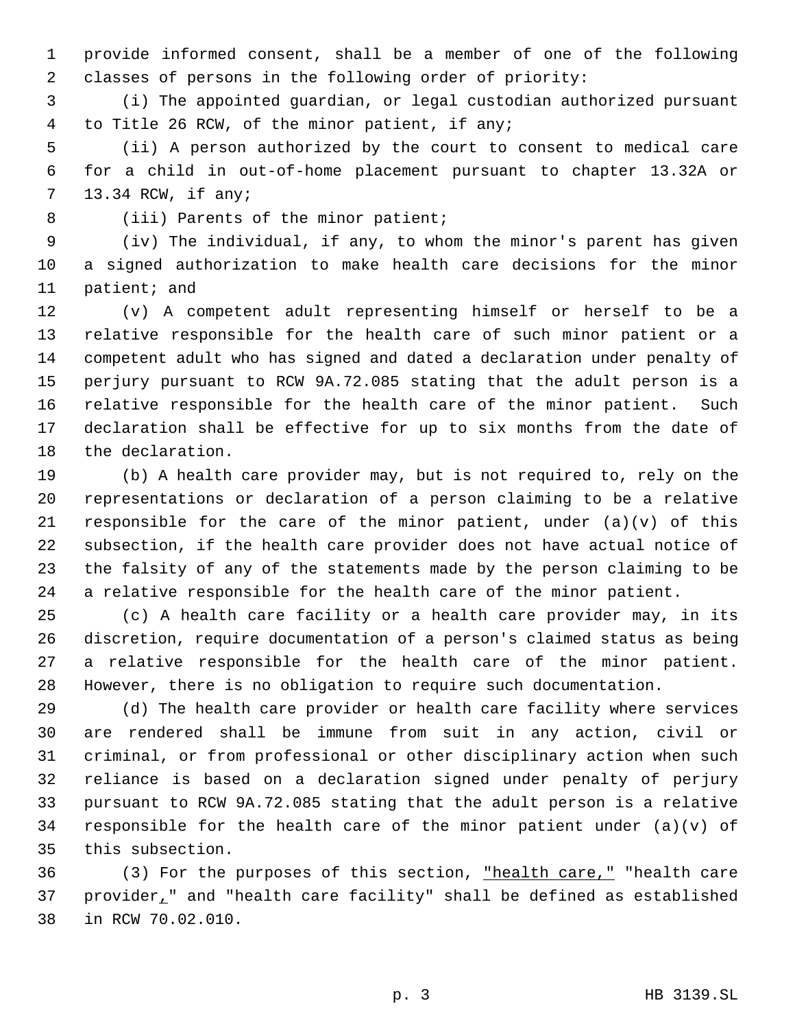provide informed consent, shall be a member of one of the following classes of persons in the following order of priority:

 (i) The appointed guardian, or legal custodian authorized pursuant to Title 26 RCW, of the minor patient, if any;

 (ii) A person authorized by the court to consent to medical care for a child in out-of-home placement pursuant to chapter 13.32A or 13.34 RCW, if any;

8 (iii) Parents of the minor patient;

 (iv) The individual, if any, to whom the minor's parent has given a signed authorization to make health care decisions for the minor patient; and

 (v) A competent adult representing himself or herself to be a relative responsible for the health care of such minor patient or a competent adult who has signed and dated a declaration under penalty of perjury pursuant to RCW 9A.72.085 stating that the adult person is a relative responsible for the health care of the minor patient. Such declaration shall be effective for up to six months from the date of the declaration.

 (b) A health care provider may, but is not required to, rely on the representations or declaration of a person claiming to be a relative 21 responsible for the care of the minor patient, under  $(a)(v)$  of this subsection, if the health care provider does not have actual notice of the falsity of any of the statements made by the person claiming to be a relative responsible for the health care of the minor patient.

 (c) A health care facility or a health care provider may, in its discretion, require documentation of a person's claimed status as being a relative responsible for the health care of the minor patient. However, there is no obligation to require such documentation.

 (d) The health care provider or health care facility where services are rendered shall be immune from suit in any action, civil or criminal, or from professional or other disciplinary action when such reliance is based on a declaration signed under penalty of perjury pursuant to RCW 9A.72.085 stating that the adult person is a relative 34 responsible for the health care of the minor patient under  $(a)(v)$  of this subsection.

 (3) For the purposes of this section, "health care," "health care provider," and "health care facility" shall be defined as established in RCW 70.02.010.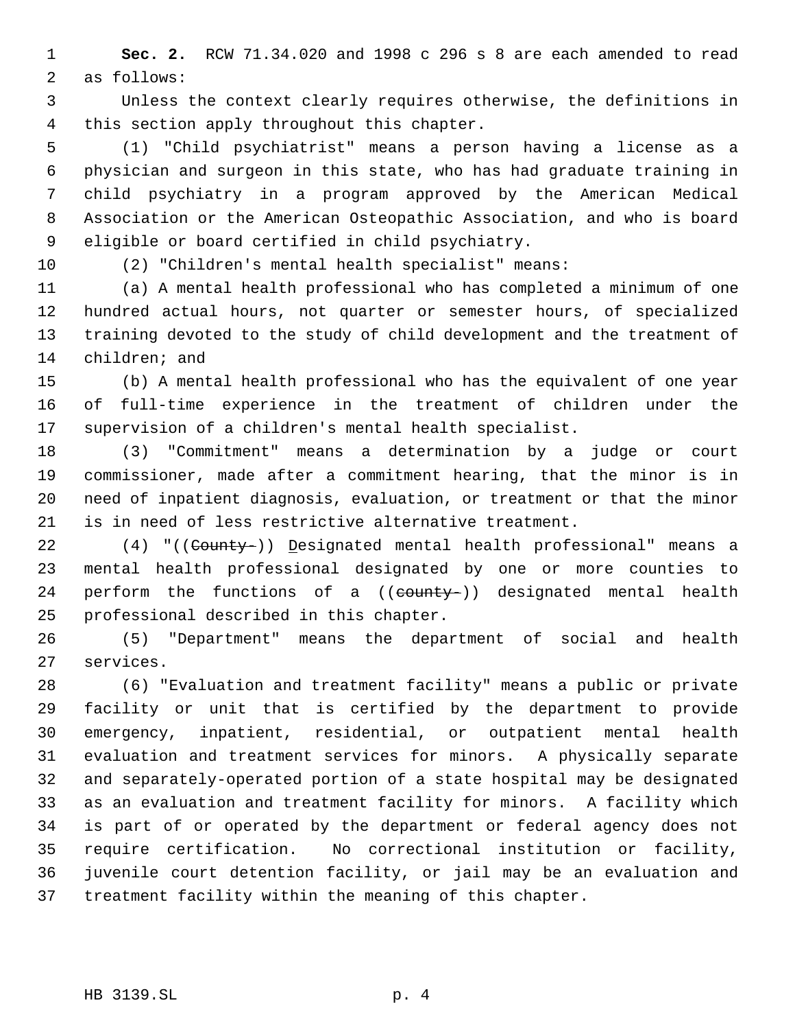**Sec. 2.** RCW 71.34.020 and 1998 c 296 s 8 are each amended to read as follows:

 Unless the context clearly requires otherwise, the definitions in this section apply throughout this chapter.

 (1) "Child psychiatrist" means a person having a license as a physician and surgeon in this state, who has had graduate training in child psychiatry in a program approved by the American Medical Association or the American Osteopathic Association, and who is board eligible or board certified in child psychiatry.

(2) "Children's mental health specialist" means:

 (a) A mental health professional who has completed a minimum of one hundred actual hours, not quarter or semester hours, of specialized training devoted to the study of child development and the treatment of children; and

 (b) A mental health professional who has the equivalent of one year of full-time experience in the treatment of children under the supervision of a children's mental health specialist.

 (3) "Commitment" means a determination by a judge or court commissioner, made after a commitment hearing, that the minor is in need of inpatient diagnosis, evaluation, or treatment or that the minor is in need of less restrictive alternative treatment.

22 (4) "((County-)) Designated mental health professional" means a mental health professional designated by one or more counties to 24 perform the functions of a ((county-)) designated mental health professional described in this chapter.

 (5) "Department" means the department of social and health services.

 (6) "Evaluation and treatment facility" means a public or private facility or unit that is certified by the department to provide emergency, inpatient, residential, or outpatient mental health evaluation and treatment services for minors. A physically separate and separately-operated portion of a state hospital may be designated as an evaluation and treatment facility for minors. A facility which is part of or operated by the department or federal agency does not require certification. No correctional institution or facility, juvenile court detention facility, or jail may be an evaluation and treatment facility within the meaning of this chapter.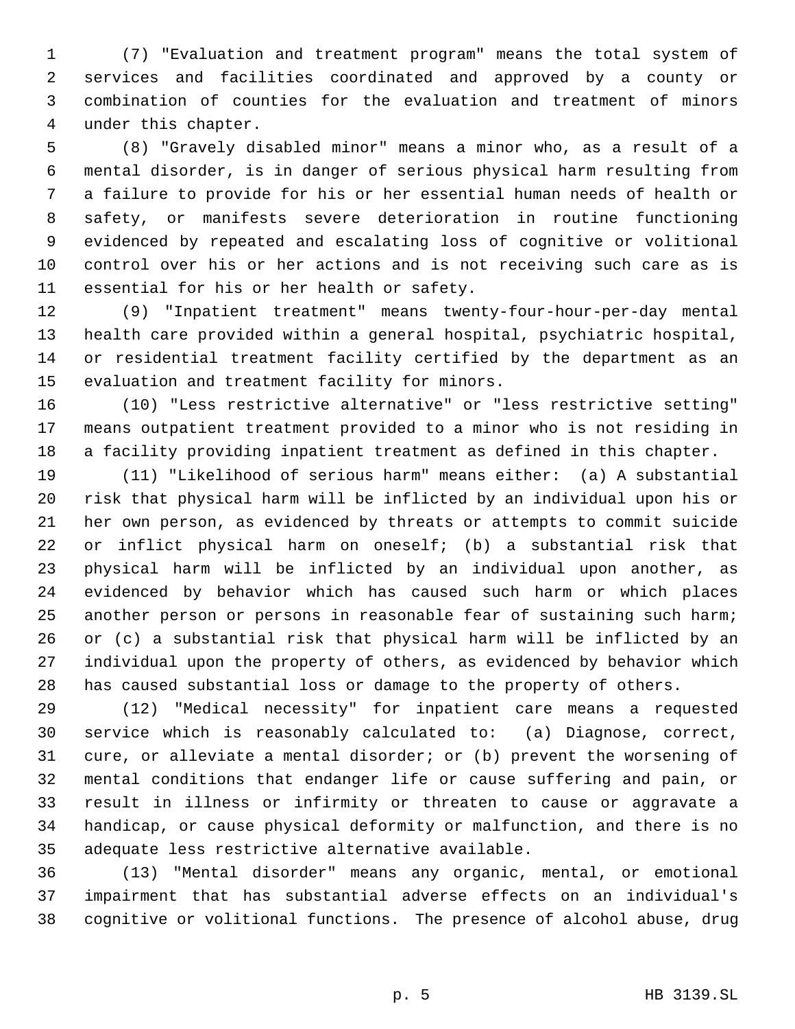(7) "Evaluation and treatment program" means the total system of services and facilities coordinated and approved by a county or combination of counties for the evaluation and treatment of minors under this chapter.

 (8) "Gravely disabled minor" means a minor who, as a result of a mental disorder, is in danger of serious physical harm resulting from a failure to provide for his or her essential human needs of health or safety, or manifests severe deterioration in routine functioning evidenced by repeated and escalating loss of cognitive or volitional control over his or her actions and is not receiving such care as is essential for his or her health or safety.

 (9) "Inpatient treatment" means twenty-four-hour-per-day mental health care provided within a general hospital, psychiatric hospital, or residential treatment facility certified by the department as an evaluation and treatment facility for minors.

 (10) "Less restrictive alternative" or "less restrictive setting" means outpatient treatment provided to a minor who is not residing in a facility providing inpatient treatment as defined in this chapter.

 (11) "Likelihood of serious harm" means either: (a) A substantial risk that physical harm will be inflicted by an individual upon his or her own person, as evidenced by threats or attempts to commit suicide or inflict physical harm on oneself; (b) a substantial risk that physical harm will be inflicted by an individual upon another, as evidenced by behavior which has caused such harm or which places another person or persons in reasonable fear of sustaining such harm; or (c) a substantial risk that physical harm will be inflicted by an individual upon the property of others, as evidenced by behavior which has caused substantial loss or damage to the property of others.

 (12) "Medical necessity" for inpatient care means a requested service which is reasonably calculated to: (a) Diagnose, correct, cure, or alleviate a mental disorder; or (b) prevent the worsening of mental conditions that endanger life or cause suffering and pain, or result in illness or infirmity or threaten to cause or aggravate a handicap, or cause physical deformity or malfunction, and there is no adequate less restrictive alternative available.

 (13) "Mental disorder" means any organic, mental, or emotional impairment that has substantial adverse effects on an individual's cognitive or volitional functions. The presence of alcohol abuse, drug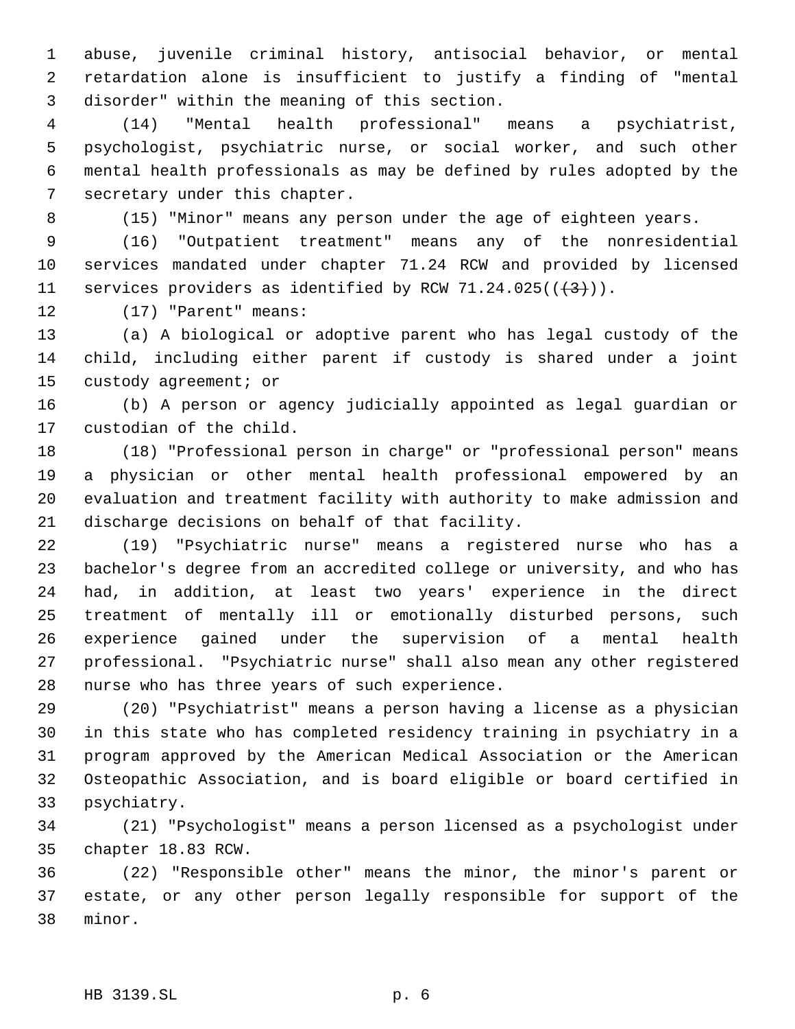abuse, juvenile criminal history, antisocial behavior, or mental retardation alone is insufficient to justify a finding of "mental disorder" within the meaning of this section.

 (14) "Mental health professional" means a psychiatrist, psychologist, psychiatric nurse, or social worker, and such other mental health professionals as may be defined by rules adopted by the secretary under this chapter.

(15) "Minor" means any person under the age of eighteen years.

 (16) "Outpatient treatment" means any of the nonresidential services mandated under chapter 71.24 RCW and provided by licensed 11 services providers as identified by RCW 71.24.025( $(\frac{4}{3})$ ).

(17) "Parent" means:

 (a) A biological or adoptive parent who has legal custody of the child, including either parent if custody is shared under a joint custody agreement; or

 (b) A person or agency judicially appointed as legal guardian or custodian of the child.

 (18) "Professional person in charge" or "professional person" means a physician or other mental health professional empowered by an evaluation and treatment facility with authority to make admission and discharge decisions on behalf of that facility.

 (19) "Psychiatric nurse" means a registered nurse who has a bachelor's degree from an accredited college or university, and who has had, in addition, at least two years' experience in the direct treatment of mentally ill or emotionally disturbed persons, such experience gained under the supervision of a mental health professional. "Psychiatric nurse" shall also mean any other registered nurse who has three years of such experience.

 (20) "Psychiatrist" means a person having a license as a physician in this state who has completed residency training in psychiatry in a program approved by the American Medical Association or the American Osteopathic Association, and is board eligible or board certified in psychiatry.

 (21) "Psychologist" means a person licensed as a psychologist under chapter 18.83 RCW.

 (22) "Responsible other" means the minor, the minor's parent or estate, or any other person legally responsible for support of the minor.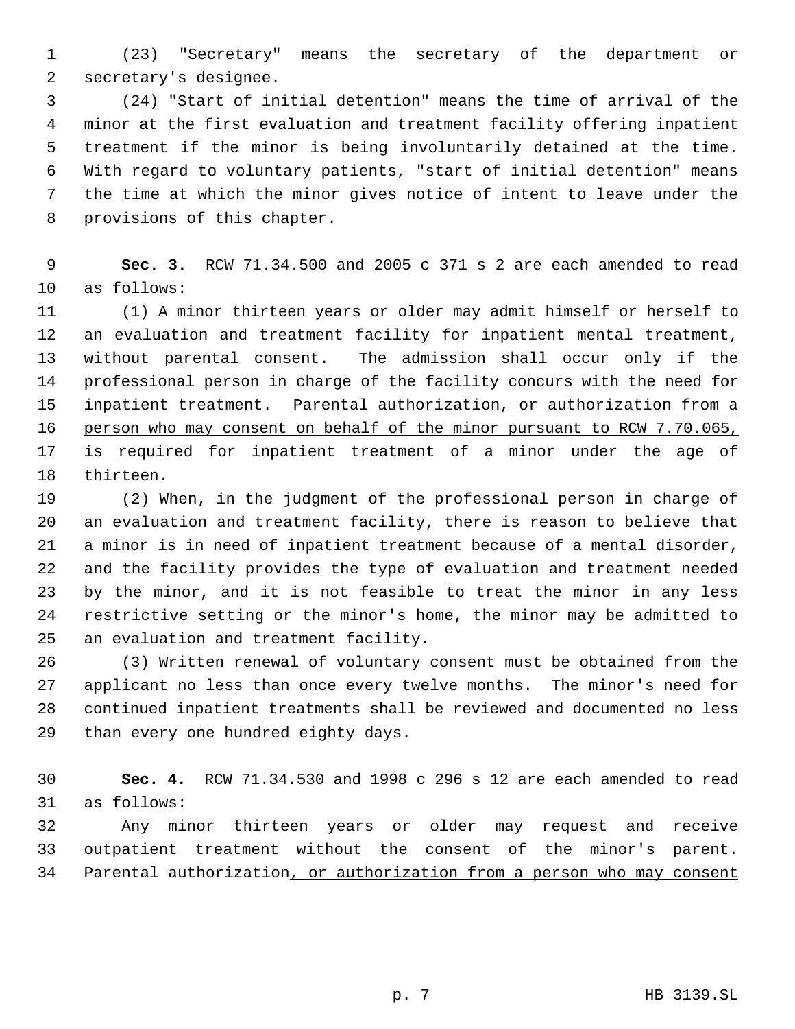(23) "Secretary" means the secretary of the department or secretary's designee.

 (24) "Start of initial detention" means the time of arrival of the minor at the first evaluation and treatment facility offering inpatient treatment if the minor is being involuntarily detained at the time. With regard to voluntary patients, "start of initial detention" means the time at which the minor gives notice of intent to leave under the provisions of this chapter.

 **Sec. 3.** RCW 71.34.500 and 2005 c 371 s 2 are each amended to read as follows:

 (1) A minor thirteen years or older may admit himself or herself to an evaluation and treatment facility for inpatient mental treatment, without parental consent. The admission shall occur only if the professional person in charge of the facility concurs with the need for 15 inpatient treatment. Parental authorization, or authorization from a person who may consent on behalf of the minor pursuant to RCW 7.70.065, is required for inpatient treatment of a minor under the age of thirteen.

 (2) When, in the judgment of the professional person in charge of an evaluation and treatment facility, there is reason to believe that a minor is in need of inpatient treatment because of a mental disorder, and the facility provides the type of evaluation and treatment needed by the minor, and it is not feasible to treat the minor in any less restrictive setting or the minor's home, the minor may be admitted to an evaluation and treatment facility.

 (3) Written renewal of voluntary consent must be obtained from the applicant no less than once every twelve months. The minor's need for continued inpatient treatments shall be reviewed and documented no less than every one hundred eighty days.

 **Sec. 4.** RCW 71.34.530 and 1998 c 296 s 12 are each amended to read as follows:

 Any minor thirteen years or older may request and receive outpatient treatment without the consent of the minor's parent. Parental authorization, or authorization from a person who may consent